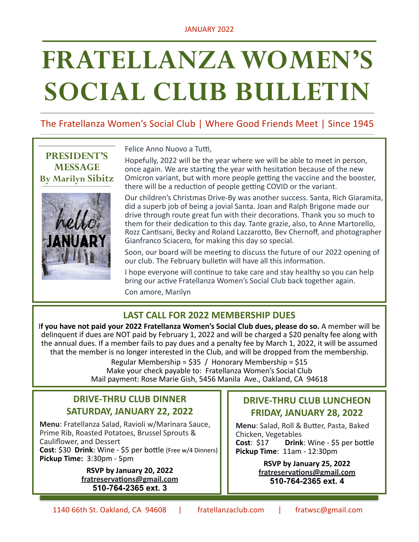# **FRATELLANZA WOMEN'S SOCIAL CLUB BULLETIN**

# The Fratellanza Women's Social Club | Where Good Friends Meet | Since 1945

**PRESIDENT'S MESSAGE By Marilyn Sibitz**



Felice Anno Nuovo a Tutti,

Hopefully, 2022 will be the year where we will be able to meet in person, once again. We are starting the year with hesitation because of the new Omicron variant, but with more people getting the vaccine and the booster, there will be a reduction of people getting COVID or the variant.

Our children's Christmas Drive-By was another success. Santa, Rich Giaramita, did a superb job of being a jovial Santa. Joan and Ralph Brigone made our drive through route great fun with their decorations. Thank you so much to them for their dedication to this day. Tante grazie, also, to Anne Martorello, Rozz Cantisani, Becky and Roland Lazzarotto, Bev Chernoff, and photographer Gianfranco Sciacero, for making this day so special.

Soon, our board will be meeting to discuss the future of our 2022 opening of our club. The February bulletin will have all this information.

I hope everyone will continue to take care and stay healthy so you can help bring our active Fratellanza Women's Social Club back together again. Con amore, Marilyn

# LAST CALL FOR 2022 MEMBERSHIP DUES

If you have not paid your 2022 Fratellanza Women's Social Club dues, please do so. A member will be delinquent if dues are NOT paid by February 1, 2022 and will be charged a \$20 penalty fee along with the annual dues. If a member fails to pay dues and a penalty fee by March 1, 2022, it will be assumed that the member is no longer interested in the Club, and will be dropped from the membership.

> Regular Membership =  $$35$  / Honorary Membership =  $$15$ Make your check payable to: Fratellanza Women's Social Club Mail payment: Rose Marie Gish, 5456 Manila Ave., Oakland, CA 94618

# **DRIVE-THRU CLUB DINNER SATURDAY, JANUARY 22, 2022**

**Menu**: Fratellanza Salad, Ravioli w/Marinara Sauce, Prime Rib, Roasted Potatoes, Brussel Sprouts & Cauliflower, and Dessert **Cost:** \$30 **Drink:** Wine - \$5 per bottle (Free w/4 Dinners)

**Pickup Time:** 3:30pm - 5pm

**RSVP by January 20, 2022 [fratreservations@gmail.com](mailto:fratreservations@gmail.com) 510-764-2365 ext. 3**

# **DRIVE-THRU CLUB LUNCHEON FRIDAY, JANUARY 28, 2022**

**Menu**: Salad, Roll & Butter, Pasta, Baked Chicken, Vegetables **Cost:** \$17 **Drink:** Wine - \$5 per bottle **Pickup Time:** 11am - 12:30pm

> **RSVP by January 25, 2022 [fratreservations@gmail.com](mailto:fratreservations@gmail.com) 510-764-2365 ext. 4**